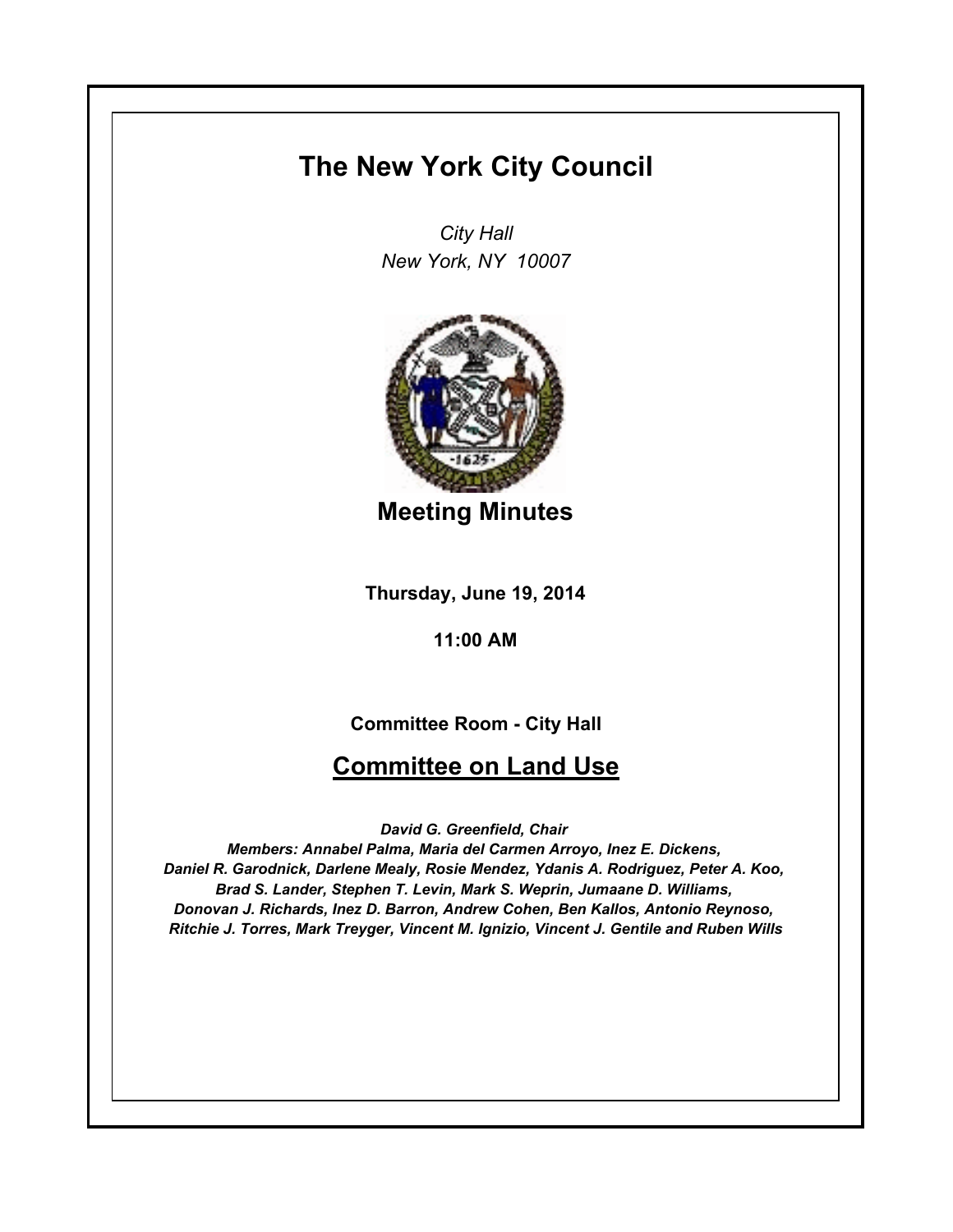# **The New York City Council**

*City Hall New York, NY 10007*



**Meeting Minutes**

**Thursday, June 19, 2014**

**11:00 AM**

### **Committee Room - City Hall**

## **Committee on Land Use**

*David G. Greenfield, Chair* 

*Members: Annabel Palma, Maria del Carmen Arroyo, Inez E. Dickens, Daniel R. Garodnick, Darlene Mealy, Rosie Mendez, Ydanis A. Rodriguez, Peter A. Koo, Brad S. Lander, Stephen T. Levin, Mark S. Weprin, Jumaane D. Williams, Donovan J. Richards, Inez D. Barron, Andrew Cohen, Ben Kallos, Antonio Reynoso, Ritchie J. Torres, Mark Treyger, Vincent M. Ignizio, Vincent J. Gentile and Ruben Wills*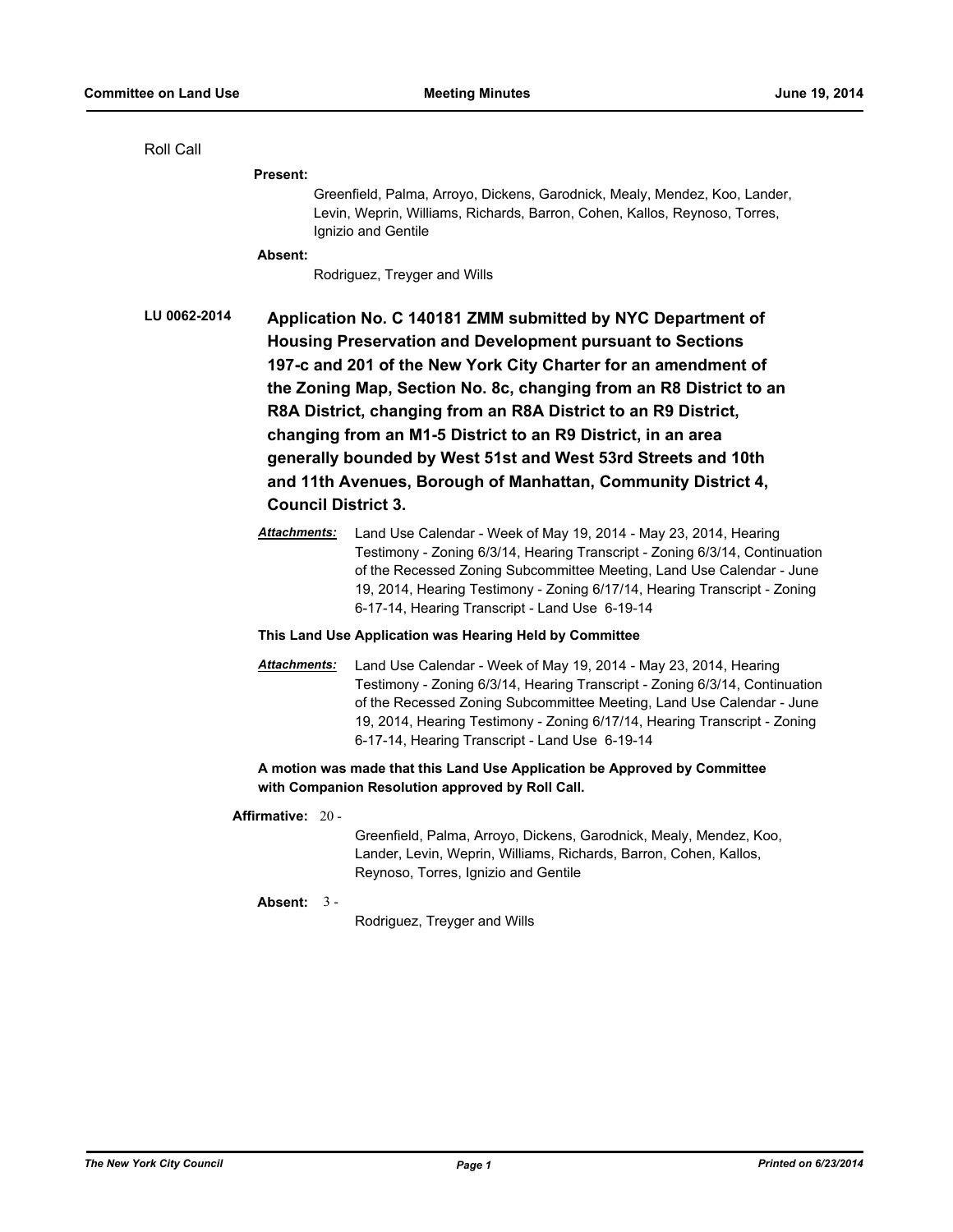| Roll Call                                                                                                                     |                                                                                                                                                                                                                                                                                                                                                                                                                                                                                                                                                                           |                                                                                                                                                                                                                                                                                                                                                         |  |  |
|-------------------------------------------------------------------------------------------------------------------------------|---------------------------------------------------------------------------------------------------------------------------------------------------------------------------------------------------------------------------------------------------------------------------------------------------------------------------------------------------------------------------------------------------------------------------------------------------------------------------------------------------------------------------------------------------------------------------|---------------------------------------------------------------------------------------------------------------------------------------------------------------------------------------------------------------------------------------------------------------------------------------------------------------------------------------------------------|--|--|
|                                                                                                                               | <b>Present:</b>                                                                                                                                                                                                                                                                                                                                                                                                                                                                                                                                                           |                                                                                                                                                                                                                                                                                                                                                         |  |  |
|                                                                                                                               |                                                                                                                                                                                                                                                                                                                                                                                                                                                                                                                                                                           | Greenfield, Palma, Arroyo, Dickens, Garodnick, Mealy, Mendez, Koo, Lander,<br>Levin, Weprin, Williams, Richards, Barron, Cohen, Kallos, Reynoso, Torres,<br>Ignizio and Gentile                                                                                                                                                                         |  |  |
|                                                                                                                               | Absent:                                                                                                                                                                                                                                                                                                                                                                                                                                                                                                                                                                   |                                                                                                                                                                                                                                                                                                                                                         |  |  |
|                                                                                                                               |                                                                                                                                                                                                                                                                                                                                                                                                                                                                                                                                                                           | Rodriguez, Treyger and Wills                                                                                                                                                                                                                                                                                                                            |  |  |
| LU 0062-2014                                                                                                                  | Application No. C 140181 ZMM submitted by NYC Department of<br><b>Housing Preservation and Development pursuant to Sections</b><br>197-c and 201 of the New York City Charter for an amendment of<br>the Zoning Map, Section No. 8c, changing from an R8 District to an<br>R8A District, changing from an R8A District to an R9 District,<br>changing from an M1-5 District to an R9 District, in an area<br>generally bounded by West 51st and West 53rd Streets and 10th<br>and 11th Avenues, Borough of Manhattan, Community District 4,<br><b>Council District 3.</b> |                                                                                                                                                                                                                                                                                                                                                         |  |  |
|                                                                                                                               | Attachments:                                                                                                                                                                                                                                                                                                                                                                                                                                                                                                                                                              | Land Use Calendar - Week of May 19, 2014 - May 23, 2014, Hearing<br>Testimony - Zoning 6/3/14, Hearing Transcript - Zoning 6/3/14, Continuation<br>of the Recessed Zoning Subcommittee Meeting, Land Use Calendar - June<br>19, 2014, Hearing Testimony - Zoning 6/17/14, Hearing Transcript - Zoning<br>6-17-14, Hearing Transcript - Land Use 6-19-14 |  |  |
| This Land Use Application was Hearing Held by Committee                                                                       |                                                                                                                                                                                                                                                                                                                                                                                                                                                                                                                                                                           |                                                                                                                                                                                                                                                                                                                                                         |  |  |
|                                                                                                                               | <b>Attachments:</b>                                                                                                                                                                                                                                                                                                                                                                                                                                                                                                                                                       | Land Use Calendar - Week of May 19, 2014 - May 23, 2014, Hearing<br>Testimony - Zoning 6/3/14, Hearing Transcript - Zoning 6/3/14, Continuation<br>of the Recessed Zoning Subcommittee Meeting, Land Use Calendar - June<br>19, 2014, Hearing Testimony - Zoning 6/17/14, Hearing Transcript - Zoning<br>6-17-14, Hearing Transcript - Land Use 6-19-14 |  |  |
| A motion was made that this Land Use Application be Approved by Committee<br>with Companion Resolution approved by Roll Call. |                                                                                                                                                                                                                                                                                                                                                                                                                                                                                                                                                                           |                                                                                                                                                                                                                                                                                                                                                         |  |  |
|                                                                                                                               | Affirmative: 20 -                                                                                                                                                                                                                                                                                                                                                                                                                                                                                                                                                         | Greenfield, Palma, Arroyo, Dickens, Garodnick, Mealy, Mendez, Koo,<br>Lander, Levin, Weprin, Williams, Richards, Barron, Cohen, Kallos,<br>Reynoso, Torres, Ignizio and Gentile                                                                                                                                                                         |  |  |
|                                                                                                                               | Absent: $3 -$                                                                                                                                                                                                                                                                                                                                                                                                                                                                                                                                                             | Rodriguez, Treyger and Wills                                                                                                                                                                                                                                                                                                                            |  |  |
|                                                                                                                               |                                                                                                                                                                                                                                                                                                                                                                                                                                                                                                                                                                           |                                                                                                                                                                                                                                                                                                                                                         |  |  |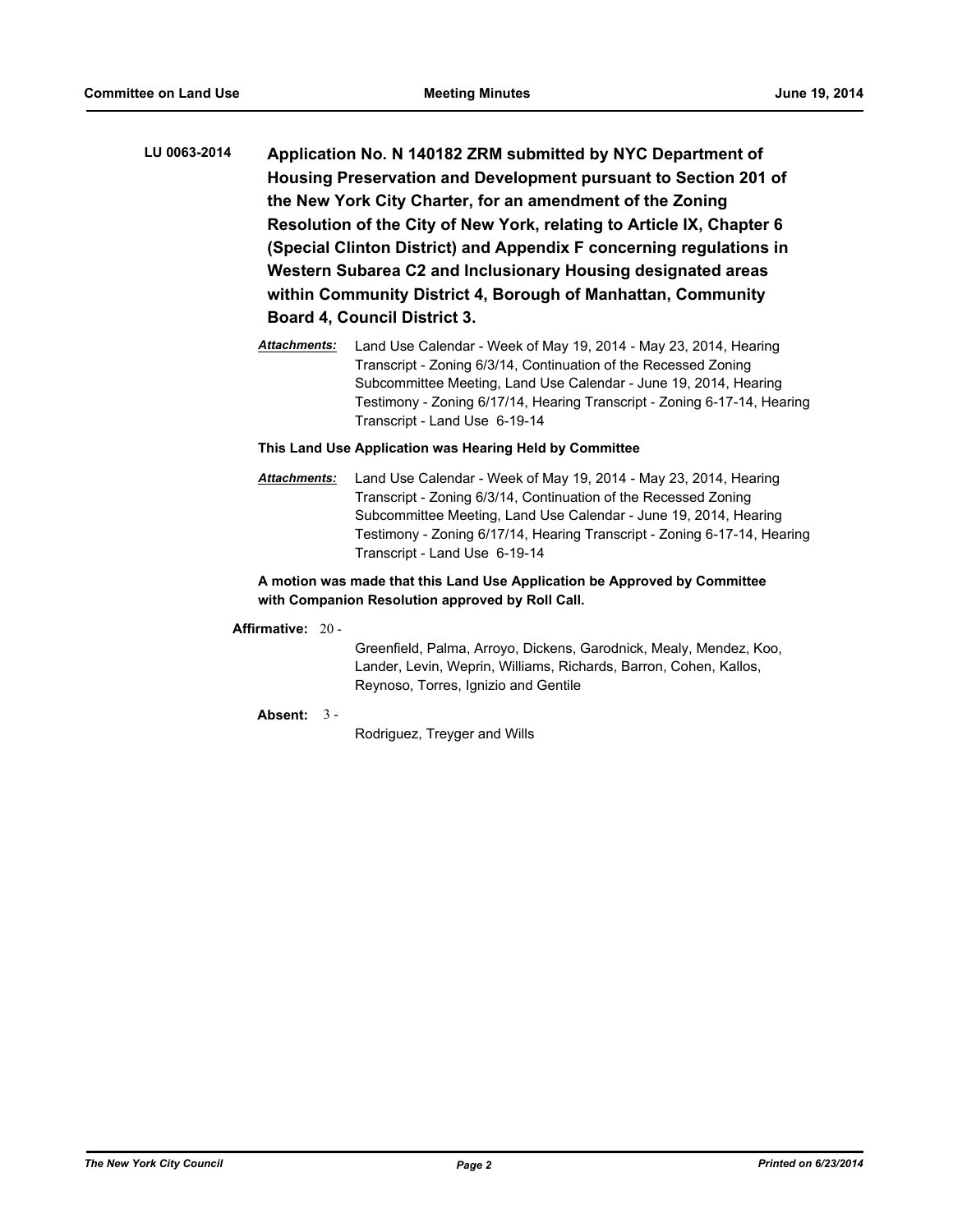- **LU 0063-2014 Application No. N 140182 ZRM submitted by NYC Department of Housing Preservation and Development pursuant to Section 201 of the New York City Charter, for an amendment of the Zoning Resolution of the City of New York, relating to Article IX, Chapter 6 (Special Clinton District) and Appendix F concerning regulations in Western Subarea C2 and Inclusionary Housing designated areas within Community District 4, Borough of Manhattan, Community Board 4, Council District 3.**
	- *Attachments:* Land Use Calendar Week of May 19, 2014 May 23, 2014, Hearing Transcript - Zoning 6/3/14, Continuation of the Recessed Zoning Subcommittee Meeting, Land Use Calendar - June 19, 2014, Hearing Testimony - Zoning 6/17/14, Hearing Transcript - Zoning 6-17-14, Hearing Transcript - Land Use 6-19-14

*Attachments:* Land Use Calendar - Week of May 19, 2014 - May 23, 2014, Hearing Transcript - Zoning 6/3/14, Continuation of the Recessed Zoning Subcommittee Meeting, Land Use Calendar - June 19, 2014, Hearing Testimony - Zoning 6/17/14, Hearing Transcript - Zoning 6-17-14, Hearing Transcript - Land Use 6-19-14

#### **A motion was made that this Land Use Application be Approved by Committee with Companion Resolution approved by Roll Call.**

#### **Affirmative:** 20 -

Greenfield, Palma, Arroyo, Dickens, Garodnick, Mealy, Mendez, Koo, Lander, Levin, Weprin, Williams, Richards, Barron, Cohen, Kallos, Reynoso, Torres, Ignizio and Gentile

**Absent:** 3 -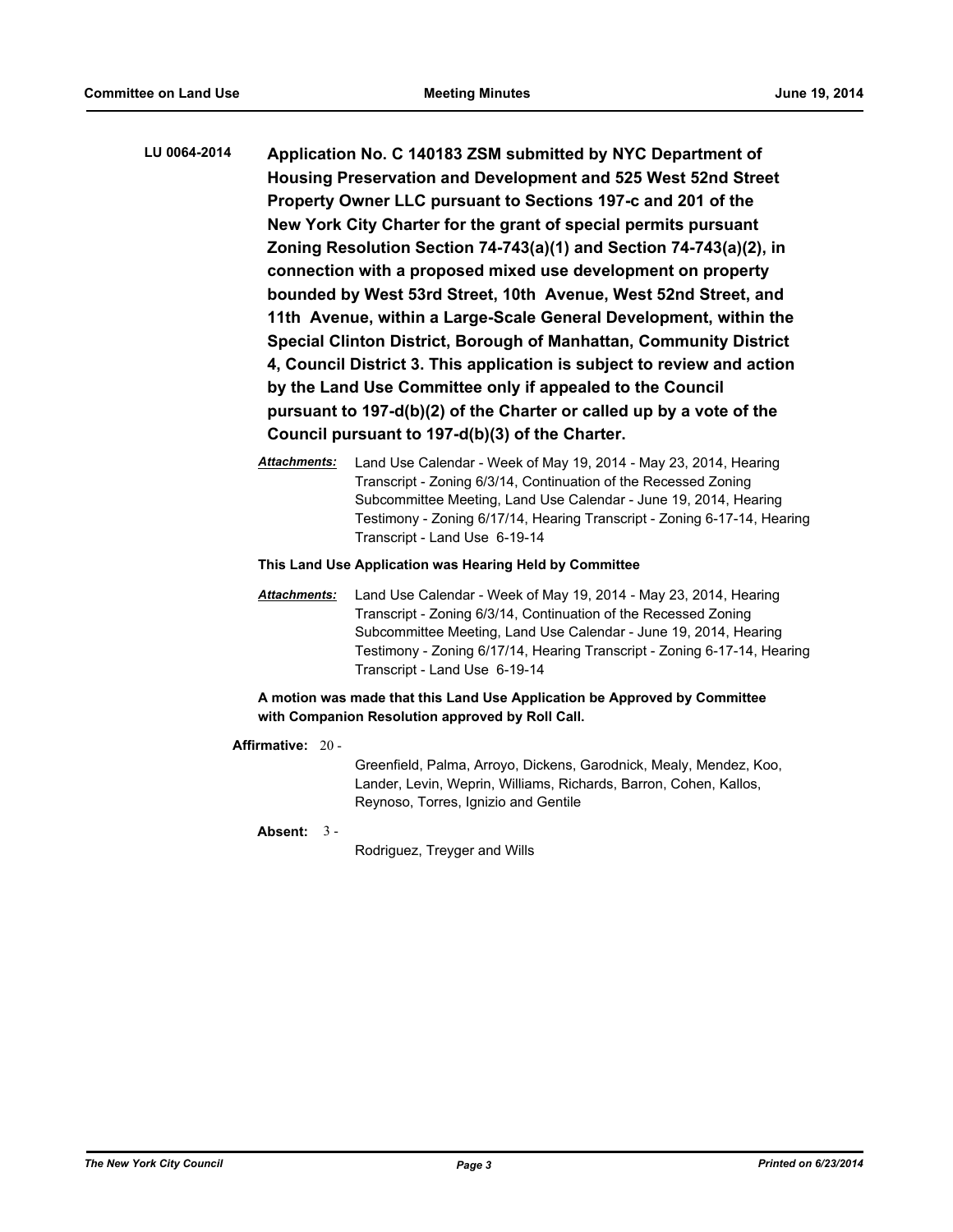- **LU 0064-2014 Application No. C 140183 ZSM submitted by NYC Department of Housing Preservation and Development and 525 West 52nd Street Property Owner LLC pursuant to Sections 197-c and 201 of the New York City Charter for the grant of special permits pursuant Zoning Resolution Section 74-743(a)(1) and Section 74-743(a)(2), in connection with a proposed mixed use development on property bounded by West 53rd Street, 10th Avenue, West 52nd Street, and 11th Avenue, within a Large-Scale General Development, within the Special Clinton District, Borough of Manhattan, Community District 4, Council District 3. This application is subject to review and action by the Land Use Committee only if appealed to the Council pursuant to 197-d(b)(2) of the Charter or called up by a vote of the Council pursuant to 197-d(b)(3) of the Charter.**
	- *Attachments:* Land Use Calendar Week of May 19, 2014 May 23, 2014, Hearing Transcript - Zoning 6/3/14, Continuation of the Recessed Zoning Subcommittee Meeting, Land Use Calendar - June 19, 2014, Hearing Testimony - Zoning 6/17/14, Hearing Transcript - Zoning 6-17-14, Hearing Transcript - Land Use 6-19-14

*Attachments:* Land Use Calendar - Week of May 19, 2014 - May 23, 2014, Hearing Transcript - Zoning 6/3/14, Continuation of the Recessed Zoning Subcommittee Meeting, Land Use Calendar - June 19, 2014, Hearing Testimony - Zoning 6/17/14, Hearing Transcript - Zoning 6-17-14, Hearing Transcript - Land Use 6-19-14

#### **A motion was made that this Land Use Application be Approved by Committee with Companion Resolution approved by Roll Call.**

#### **Affirmative:** 20 -

Greenfield, Palma, Arroyo, Dickens, Garodnick, Mealy, Mendez, Koo, Lander, Levin, Weprin, Williams, Richards, Barron, Cohen, Kallos, Reynoso, Torres, Ignizio and Gentile

#### **Absent:** 3 -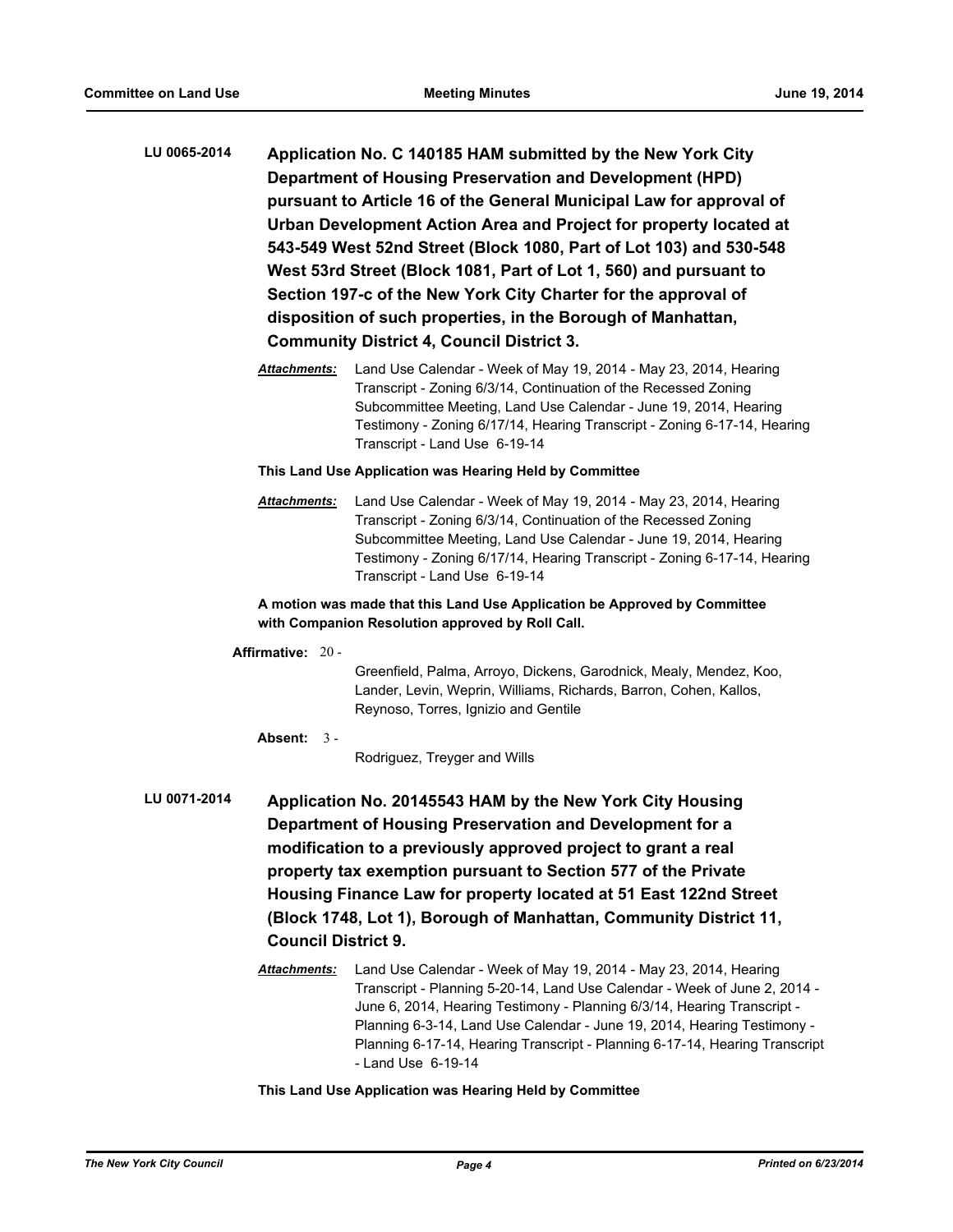- **LU 0065-2014 Application No. C 140185 HAM submitted by the New York City Department of Housing Preservation and Development (HPD) pursuant to Article 16 of the General Municipal Law for approval of Urban Development Action Area and Project for property located at 543-549 West 52nd Street (Block 1080, Part of Lot 103) and 530-548 West 53rd Street (Block 1081, Part of Lot 1, 560) and pursuant to Section 197-c of the New York City Charter for the approval of disposition of such properties, in the Borough of Manhattan, Community District 4, Council District 3.**
	- *Attachments:* Land Use Calendar Week of May 19, 2014 May 23, 2014, Hearing Transcript - Zoning 6/3/14, Continuation of the Recessed Zoning Subcommittee Meeting, Land Use Calendar - June 19, 2014, Hearing Testimony - Zoning 6/17/14, Hearing Transcript - Zoning 6-17-14, Hearing Transcript - Land Use 6-19-14

*Attachments:* Land Use Calendar - Week of May 19, 2014 - May 23, 2014, Hearing Transcript - Zoning 6/3/14, Continuation of the Recessed Zoning Subcommittee Meeting, Land Use Calendar - June 19, 2014, Hearing Testimony - Zoning 6/17/14, Hearing Transcript - Zoning 6-17-14, Hearing Transcript - Land Use 6-19-14

#### **A motion was made that this Land Use Application be Approved by Committee with Companion Resolution approved by Roll Call.**

#### **Affirmative:** 20 -

Greenfield, Palma, Arroyo, Dickens, Garodnick, Mealy, Mendez, Koo, Lander, Levin, Weprin, Williams, Richards, Barron, Cohen, Kallos, Reynoso, Torres, Ignizio and Gentile

#### **Absent:** 3 -

Rodriguez, Treyger and Wills

- **LU 0071-2014 Application No. 20145543 HAM by the New York City Housing Department of Housing Preservation and Development for a modification to a previously approved project to grant a real property tax exemption pursuant to Section 577 of the Private Housing Finance Law for property located at 51 East 122nd Street (Block 1748, Lot 1), Borough of Manhattan, Community District 11, Council District 9.**
	- *Attachments:* Land Use Calendar Week of May 19, 2014 May 23, 2014, Hearing Transcript - Planning 5-20-14, Land Use Calendar - Week of June 2, 2014 - June 6, 2014, Hearing Testimony - Planning 6/3/14, Hearing Transcript - Planning 6-3-14, Land Use Calendar - June 19, 2014, Hearing Testimony - Planning 6-17-14, Hearing Transcript - Planning 6-17-14, Hearing Transcript - Land Use 6-19-14

#### **This Land Use Application was Hearing Held by Committee**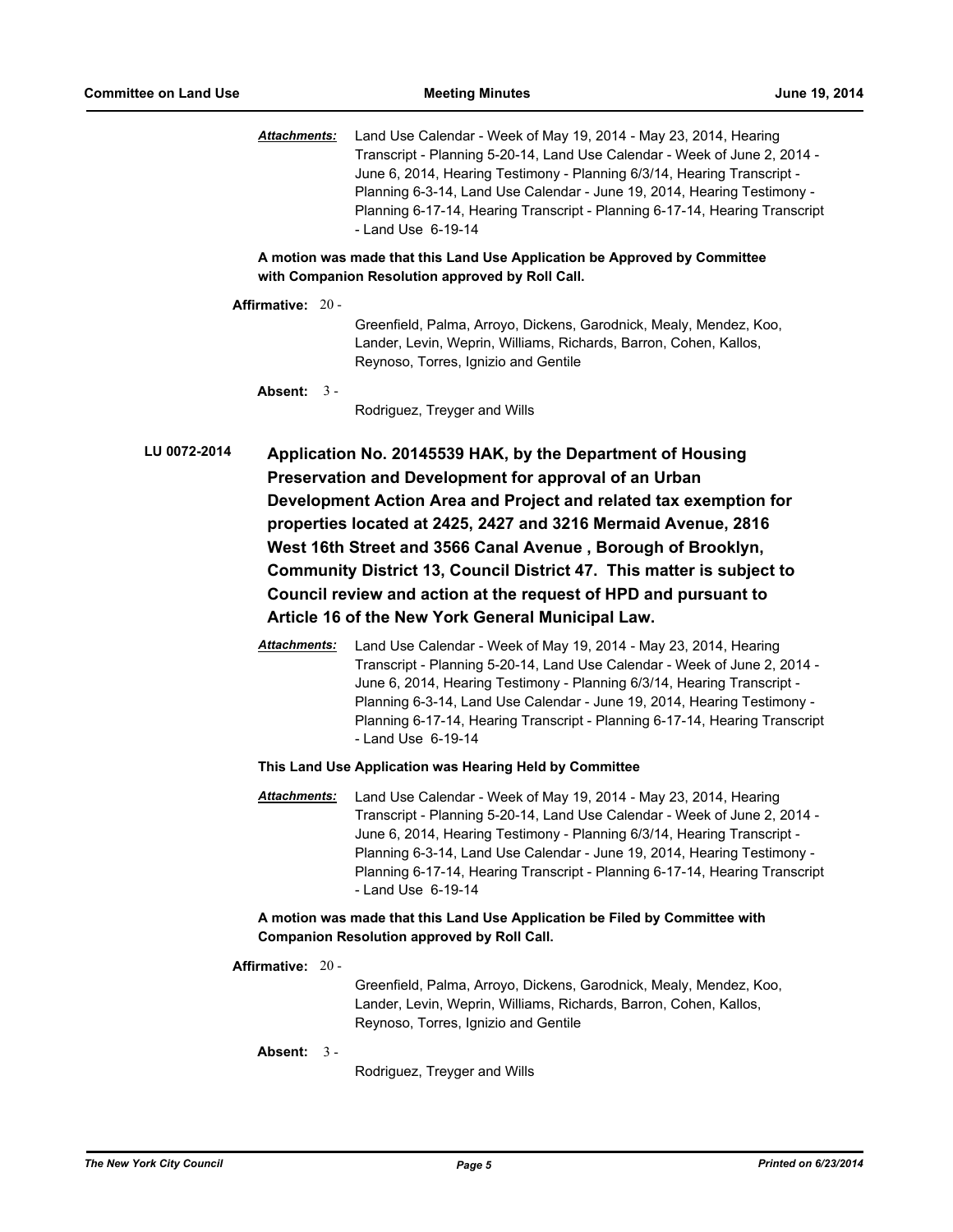*Attachments:* Land Use Calendar - Week of May 19, 2014 - May 23, 2014, Hearing Transcript - Planning 5-20-14, Land Use Calendar - Week of June 2, 2014 - June 6, 2014, Hearing Testimony - Planning 6/3/14, Hearing Transcript - Planning 6-3-14, Land Use Calendar - June 19, 2014, Hearing Testimony - Planning 6-17-14, Hearing Transcript - Planning 6-17-14, Hearing Transcript - Land Use 6-19-14

**A motion was made that this Land Use Application be Approved by Committee with Companion Resolution approved by Roll Call.**

**Affirmative:** 20 - Greenfield, Palma, Arroyo, Dickens, Garodnick, Mealy, Mendez, Koo, Lander, Levin, Weprin, Williams, Richards, Barron, Cohen, Kallos, Reynoso, Torres, Ignizio and Gentile **Absent:** 3 - Rodriguez, Treyger and Wills **LU 0072-2014 Application No. 20145539 HAK, by the Department of Housing** 

**Preservation and Development for approval of an Urban Development Action Area and Project and related tax exemption for properties located at 2425, 2427 and 3216 Mermaid Avenue, 2816 West 16th Street and 3566 Canal Avenue , Borough of Brooklyn, Community District 13, Council District 47. This matter is subject to Council review and action at the request of HPD and pursuant to Article 16 of the New York General Municipal Law.**

> *Attachments:* Land Use Calendar - Week of May 19, 2014 - May 23, 2014, Hearing Transcript - Planning 5-20-14, Land Use Calendar - Week of June 2, 2014 - June 6, 2014, Hearing Testimony - Planning 6/3/14, Hearing Transcript - Planning 6-3-14, Land Use Calendar - June 19, 2014, Hearing Testimony - Planning 6-17-14, Hearing Transcript - Planning 6-17-14, Hearing Transcript - Land Use 6-19-14

#### **This Land Use Application was Hearing Held by Committee**

*Attachments:* Land Use Calendar - Week of May 19, 2014 - May 23, 2014, Hearing Transcript - Planning 5-20-14, Land Use Calendar - Week of June 2, 2014 - June 6, 2014, Hearing Testimony - Planning 6/3/14, Hearing Transcript - Planning 6-3-14, Land Use Calendar - June 19, 2014, Hearing Testimony - Planning 6-17-14, Hearing Transcript - Planning 6-17-14, Hearing Transcript - Land Use 6-19-14

#### **A motion was made that this Land Use Application be Filed by Committee with Companion Resolution approved by Roll Call.**

#### **Affirmative:** 20 -

Greenfield, Palma, Arroyo, Dickens, Garodnick, Mealy, Mendez, Koo, Lander, Levin, Weprin, Williams, Richards, Barron, Cohen, Kallos, Reynoso, Torres, Ignizio and Gentile

**Absent:** 3 -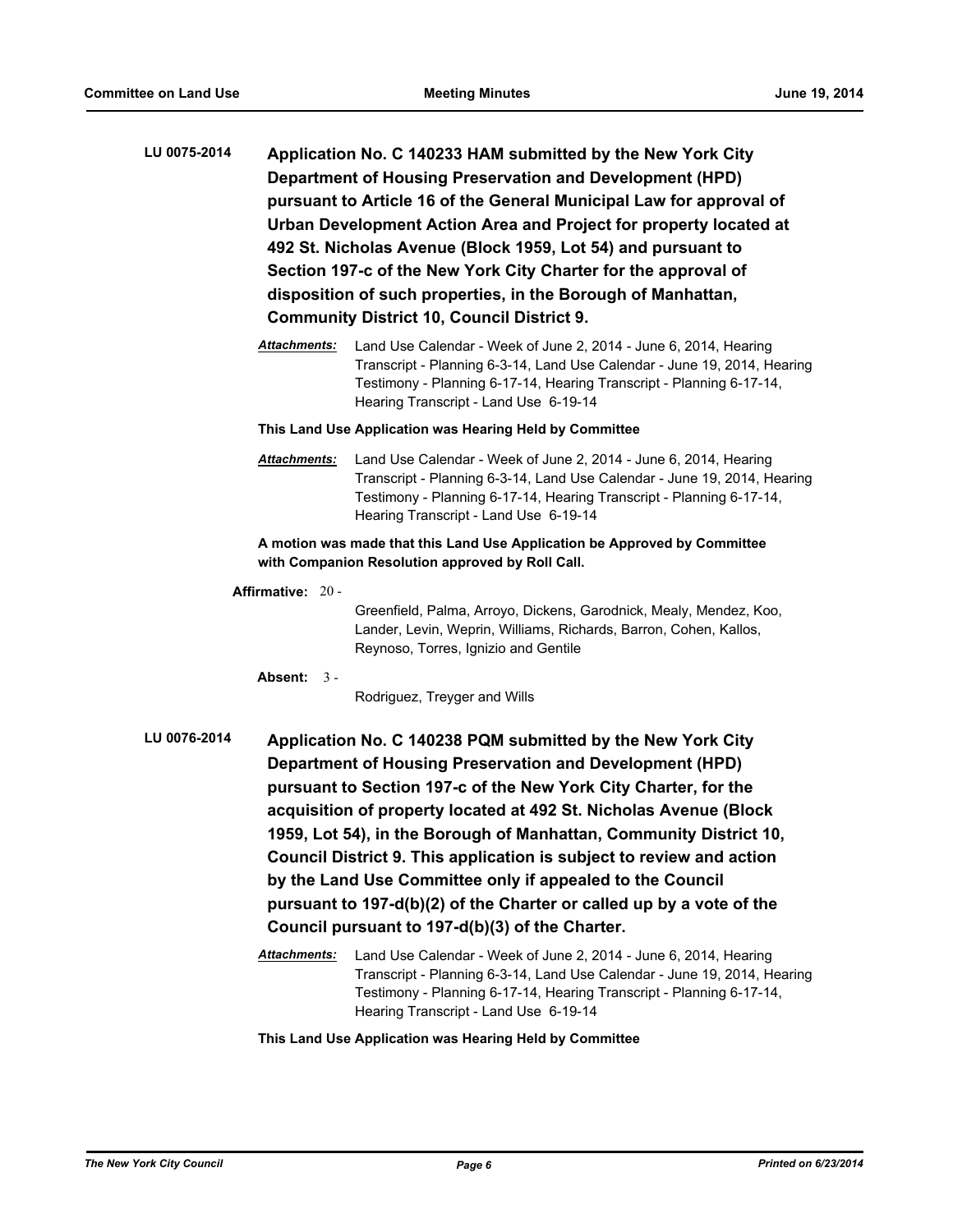- **LU 0075-2014 Application No. C 140233 HAM submitted by the New York City Department of Housing Preservation and Development (HPD) pursuant to Article 16 of the General Municipal Law for approval of Urban Development Action Area and Project for property located at 492 St. Nicholas Avenue (Block 1959, Lot 54) and pursuant to Section 197-c of the New York City Charter for the approval of disposition of such properties, in the Borough of Manhattan, Community District 10, Council District 9.**
	- *Attachments:* Land Use Calendar Week of June 2, 2014 June 6, 2014, Hearing Transcript - Planning 6-3-14, Land Use Calendar - June 19, 2014, Hearing Testimony - Planning 6-17-14, Hearing Transcript - Planning 6-17-14, Hearing Transcript - Land Use 6-19-14

*Attachments:* Land Use Calendar - Week of June 2, 2014 - June 6, 2014, Hearing Transcript - Planning 6-3-14, Land Use Calendar - June 19, 2014, Hearing Testimony - Planning 6-17-14, Hearing Transcript - Planning 6-17-14, Hearing Transcript - Land Use 6-19-14

#### **A motion was made that this Land Use Application be Approved by Committee with Companion Resolution approved by Roll Call.**

**Affirmative:** 20 -

Greenfield, Palma, Arroyo, Dickens, Garodnick, Mealy, Mendez, Koo, Lander, Levin, Weprin, Williams, Richards, Barron, Cohen, Kallos, Reynoso, Torres, Ignizio and Gentile

**Absent:** 3 -

Rodriguez, Treyger and Wills

**LU 0076-2014 Application No. C 140238 PQM submitted by the New York City Department of Housing Preservation and Development (HPD) pursuant to Section 197-c of the New York City Charter, for the acquisition of property located at 492 St. Nicholas Avenue (Block 1959, Lot 54), in the Borough of Manhattan, Community District 10, Council District 9. This application is subject to review and action by the Land Use Committee only if appealed to the Council pursuant to 197-d(b)(2) of the Charter or called up by a vote of the Council pursuant to 197-d(b)(3) of the Charter.**

> *Attachments:* Land Use Calendar - Week of June 2, 2014 - June 6, 2014, Hearing Transcript - Planning 6-3-14, Land Use Calendar - June 19, 2014, Hearing Testimony - Planning 6-17-14, Hearing Transcript - Planning 6-17-14, Hearing Transcript - Land Use 6-19-14

**This Land Use Application was Hearing Held by Committee**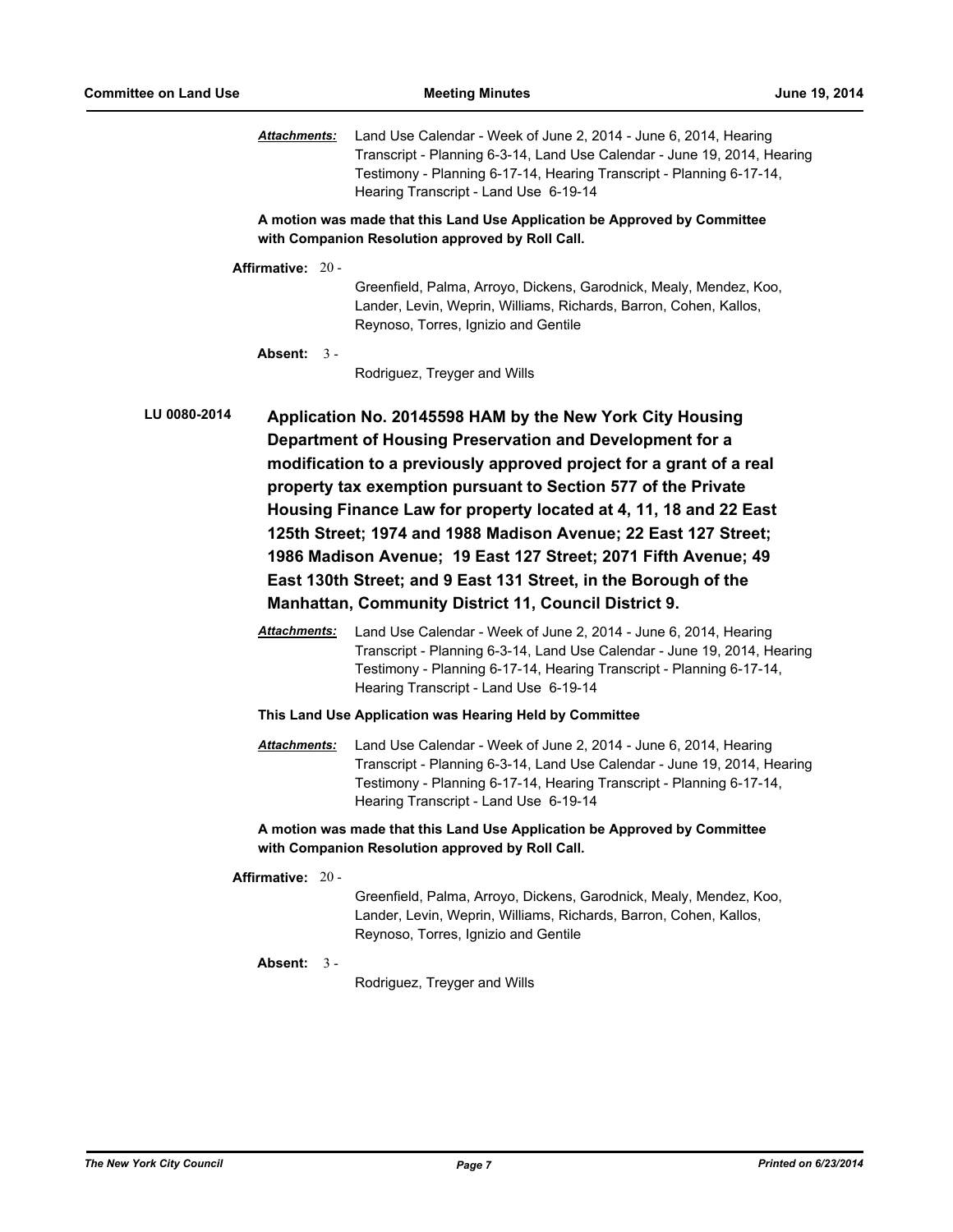| <b>Attachments:</b>                                                                                                                                                                                                                                                                                                                                                                                                                                                                                                                                                                                                                                                                                                                                                                               | Land Use Calendar - Week of June 2, 2014 - June 6, 2014, Hearing<br>Transcript - Planning 6-3-14, Land Use Calendar - June 19, 2014, Hearing<br>Testimony - Planning 6-17-14, Hearing Transcript - Planning 6-17-14,<br>Hearing Transcript - Land Use 6-19-14 |  |  |  |  |
|---------------------------------------------------------------------------------------------------------------------------------------------------------------------------------------------------------------------------------------------------------------------------------------------------------------------------------------------------------------------------------------------------------------------------------------------------------------------------------------------------------------------------------------------------------------------------------------------------------------------------------------------------------------------------------------------------------------------------------------------------------------------------------------------------|---------------------------------------------------------------------------------------------------------------------------------------------------------------------------------------------------------------------------------------------------------------|--|--|--|--|
| A motion was made that this Land Use Application be Approved by Committee<br>with Companion Resolution approved by Roll Call.                                                                                                                                                                                                                                                                                                                                                                                                                                                                                                                                                                                                                                                                     |                                                                                                                                                                                                                                                               |  |  |  |  |
| Affirmative: $20 -$                                                                                                                                                                                                                                                                                                                                                                                                                                                                                                                                                                                                                                                                                                                                                                               |                                                                                                                                                                                                                                                               |  |  |  |  |
|                                                                                                                                                                                                                                                                                                                                                                                                                                                                                                                                                                                                                                                                                                                                                                                                   | Greenfield, Palma, Arroyo, Dickens, Garodnick, Mealy, Mendez, Koo,<br>Lander, Levin, Weprin, Williams, Richards, Barron, Cohen, Kallos,<br>Reynoso, Torres, Ignizio and Gentile                                                                               |  |  |  |  |
| Absent: $3 -$                                                                                                                                                                                                                                                                                                                                                                                                                                                                                                                                                                                                                                                                                                                                                                                     | Rodriguez, Treyger and Wills                                                                                                                                                                                                                                  |  |  |  |  |
| <b>LU 0080-2014</b><br>Application No. 20145598 HAM by the New York City Housing<br>Department of Housing Preservation and Development for a<br>modification to a previously approved project for a grant of a real<br>property tax exemption pursuant to Section 577 of the Private<br>Housing Finance Law for property located at 4, 11, 18 and 22 East<br>125th Street; 1974 and 1988 Madison Avenue; 22 East 127 Street;<br>1986 Madison Avenue; 19 East 127 Street; 2071 Fifth Avenue; 49<br>East 130th Street; and 9 East 131 Street, in the Borough of the<br><b>Manhattan, Community District 11, Council District 9.</b><br>Attachments:<br>Land Use Calendar - Week of June 2, 2014 - June 6, 2014, Hearing<br>Transcript - Planning 6-3-14, Land Use Calendar - June 19, 2014, Hearing |                                                                                                                                                                                                                                                               |  |  |  |  |
|                                                                                                                                                                                                                                                                                                                                                                                                                                                                                                                                                                                                                                                                                                                                                                                                   | Testimony - Planning 6-17-14, Hearing Transcript - Planning 6-17-14,<br>Hearing Transcript - Land Use 6-19-14                                                                                                                                                 |  |  |  |  |
| This Land Use Application was Hearing Held by Committee                                                                                                                                                                                                                                                                                                                                                                                                                                                                                                                                                                                                                                                                                                                                           |                                                                                                                                                                                                                                                               |  |  |  |  |
| <b>Attachments:</b>                                                                                                                                                                                                                                                                                                                                                                                                                                                                                                                                                                                                                                                                                                                                                                               | Land Use Calendar - Week of June 2, 2014 - June 6, 2014, Hearing<br>Transcript - Planning 6-3-14, Land Use Calendar - June 19, 2014, Hearing<br>Testimony - Planning 6-17-14, Hearing Transcript - Planning 6-17-14,<br>Hearing Transcript - Land Use 6-19-14 |  |  |  |  |
| A motion was made that this Land Use Application be Approved by Committee<br>with Companion Resolution approved by Roll Call.                                                                                                                                                                                                                                                                                                                                                                                                                                                                                                                                                                                                                                                                     |                                                                                                                                                                                                                                                               |  |  |  |  |
| Affirmative: 20 -                                                                                                                                                                                                                                                                                                                                                                                                                                                                                                                                                                                                                                                                                                                                                                                 | Greenfield, Palma, Arroyo, Dickens, Garodnick, Mealy, Mendez, Koo,<br>Lander, Levin, Weprin, Williams, Richards, Barron, Cohen, Kallos,<br>Reynoso, Torres, Ignizio and Gentile                                                                               |  |  |  |  |
| Absent: $3 -$                                                                                                                                                                                                                                                                                                                                                                                                                                                                                                                                                                                                                                                                                                                                                                                     | Rodriguez, Treyger and Wills                                                                                                                                                                                                                                  |  |  |  |  |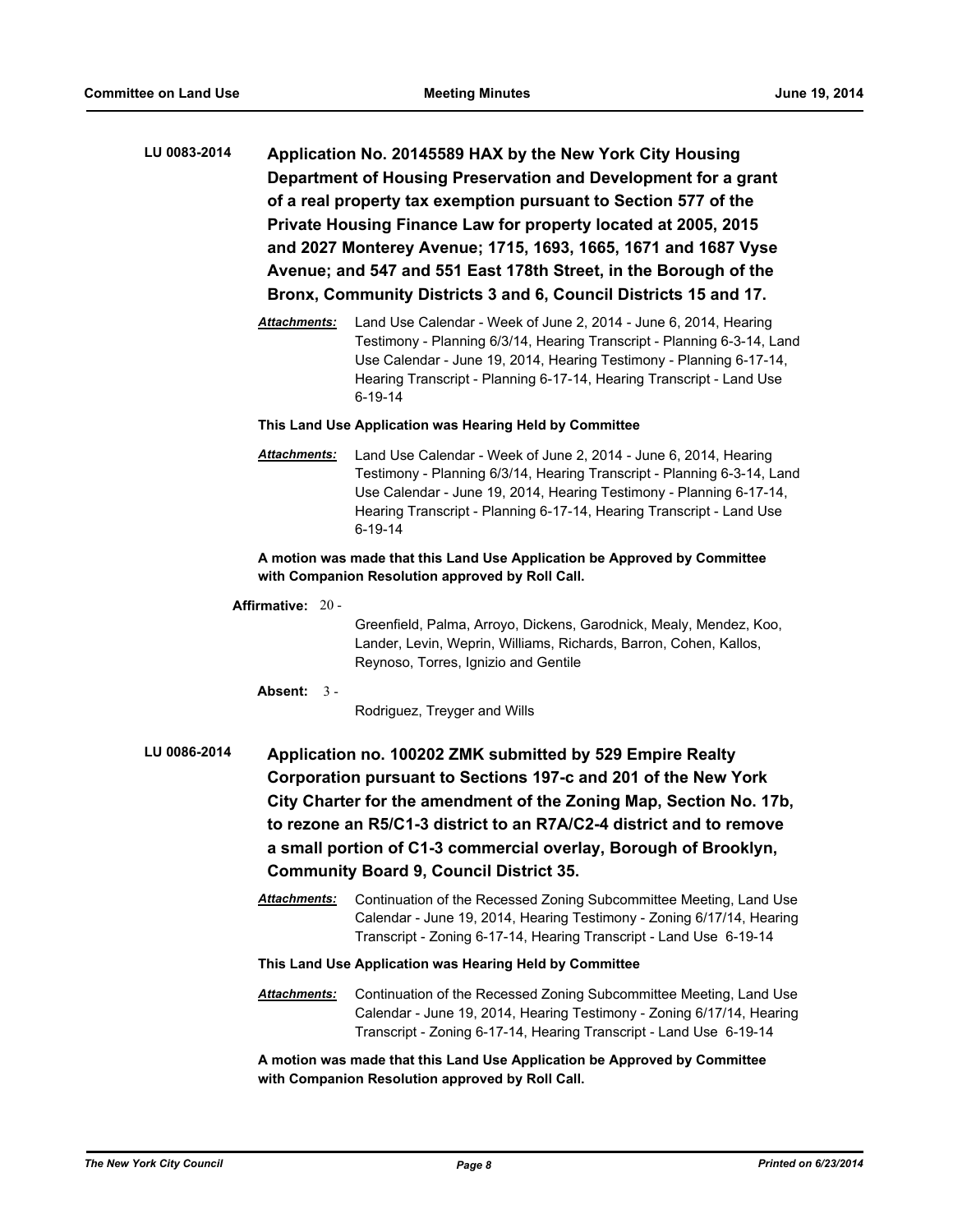- **LU 0083-2014 Application No. 20145589 HAX by the New York City Housing Department of Housing Preservation and Development for a grant of a real property tax exemption pursuant to Section 577 of the Private Housing Finance Law for property located at 2005, 2015 and 2027 Monterey Avenue; 1715, 1693, 1665, 1671 and 1687 Vyse Avenue; and 547 and 551 East 178th Street, in the Borough of the Bronx, Community Districts 3 and 6, Council Districts 15 and 17.**
	- *Attachments:* Land Use Calendar Week of June 2, 2014 June 6, 2014, Hearing Testimony - Planning 6/3/14, Hearing Transcript - Planning 6-3-14, Land Use Calendar - June 19, 2014, Hearing Testimony - Planning 6-17-14, Hearing Transcript - Planning 6-17-14, Hearing Transcript - Land Use 6-19-14

*Attachments:* Land Use Calendar - Week of June 2, 2014 - June 6, 2014, Hearing Testimony - Planning 6/3/14, Hearing Transcript - Planning 6-3-14, Land Use Calendar - June 19, 2014, Hearing Testimony - Planning 6-17-14, Hearing Transcript - Planning 6-17-14, Hearing Transcript - Land Use 6-19-14

#### **A motion was made that this Land Use Application be Approved by Committee with Companion Resolution approved by Roll Call.**

#### **Affirmative:** 20 -

Greenfield, Palma, Arroyo, Dickens, Garodnick, Mealy, Mendez, Koo, Lander, Levin, Weprin, Williams, Richards, Barron, Cohen, Kallos, Reynoso, Torres, Ignizio and Gentile

#### **Absent:** 3 -

Rodriguez, Treyger and Wills

- **LU 0086-2014 Application no. 100202 ZMK submitted by 529 Empire Realty Corporation pursuant to Sections 197-c and 201 of the New York City Charter for the amendment of the Zoning Map, Section No. 17b, to rezone an R5/C1-3 district to an R7A/C2-4 district and to remove a small portion of C1-3 commercial overlay, Borough of Brooklyn, Community Board 9, Council District 35.**
	- *Attachments:* Continuation of the Recessed Zoning Subcommittee Meeting, Land Use Calendar - June 19, 2014, Hearing Testimony - Zoning 6/17/14, Hearing Transcript - Zoning 6-17-14, Hearing Transcript - Land Use 6-19-14

#### **This Land Use Application was Hearing Held by Committee**

*Attachments:* Continuation of the Recessed Zoning Subcommittee Meeting, Land Use Calendar - June 19, 2014, Hearing Testimony - Zoning 6/17/14, Hearing Transcript - Zoning 6-17-14, Hearing Transcript - Land Use 6-19-14

**A motion was made that this Land Use Application be Approved by Committee with Companion Resolution approved by Roll Call.**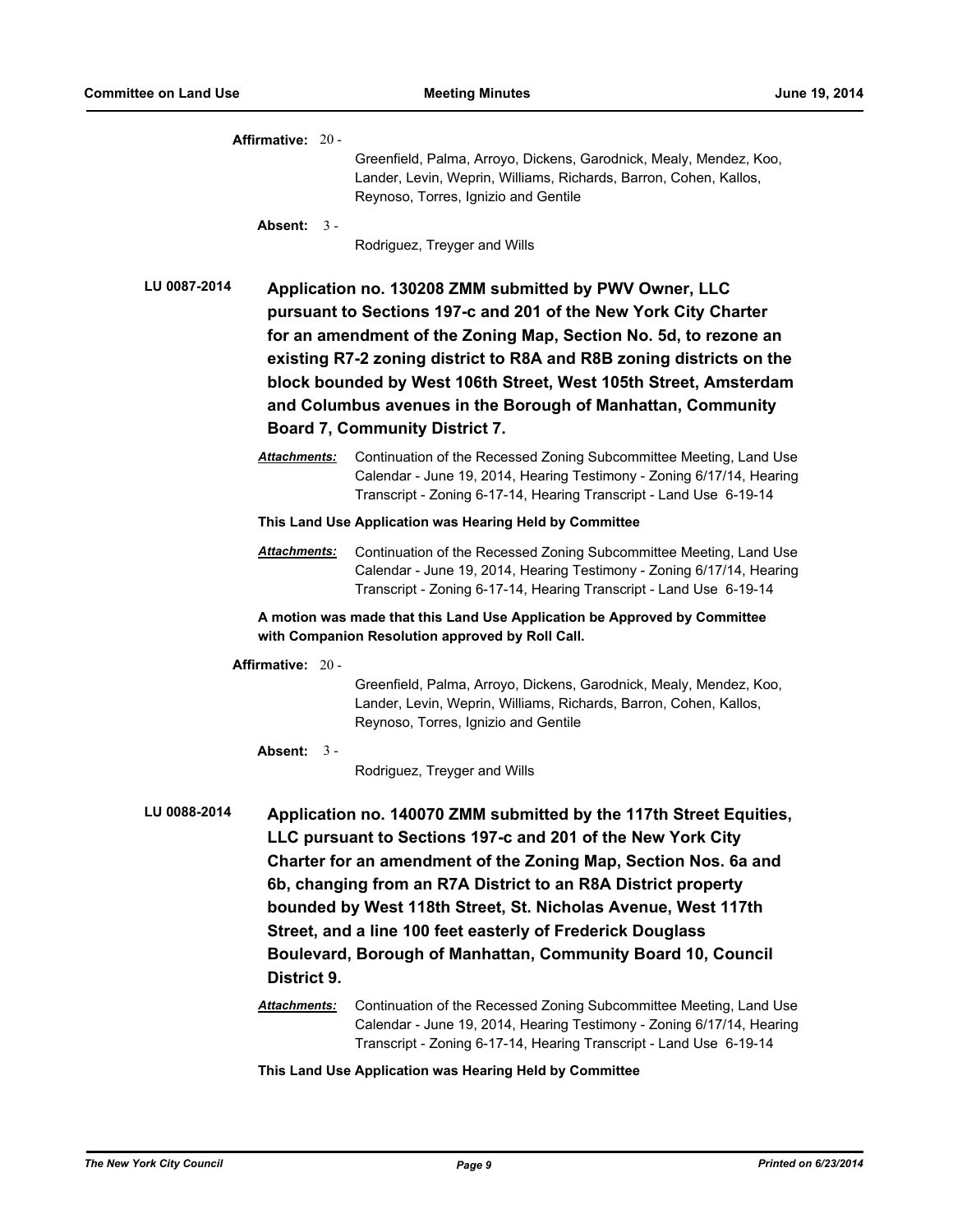| Affirmative: 20 -                                                                                                                                                                                                                                                                                                                                                                                                                                                                                   |  |                                                                                                                                                                                                                   |  |  |
|-----------------------------------------------------------------------------------------------------------------------------------------------------------------------------------------------------------------------------------------------------------------------------------------------------------------------------------------------------------------------------------------------------------------------------------------------------------------------------------------------------|--|-------------------------------------------------------------------------------------------------------------------------------------------------------------------------------------------------------------------|--|--|
|                                                                                                                                                                                                                                                                                                                                                                                                                                                                                                     |  | Greenfield, Palma, Arroyo, Dickens, Garodnick, Mealy, Mendez, Koo,<br>Lander, Levin, Weprin, Williams, Richards, Barron, Cohen, Kallos,<br>Reynoso, Torres, Ignizio and Gentile                                   |  |  |
| Absent: $3 -$                                                                                                                                                                                                                                                                                                                                                                                                                                                                                       |  | Rodriguez, Treyger and Wills                                                                                                                                                                                      |  |  |
| <b>LU 0087-2014</b>                                                                                                                                                                                                                                                                                                                                                                                                                                                                                 |  | Application no. 130208 ZMM submitted by PWV Owner, LLC                                                                                                                                                            |  |  |
|                                                                                                                                                                                                                                                                                                                                                                                                                                                                                                     |  | pursuant to Sections 197-c and 201 of the New York City Charter                                                                                                                                                   |  |  |
|                                                                                                                                                                                                                                                                                                                                                                                                                                                                                                     |  | for an amendment of the Zoning Map, Section No. 5d, to rezone an                                                                                                                                                  |  |  |
|                                                                                                                                                                                                                                                                                                                                                                                                                                                                                                     |  | existing R7-2 zoning district to R8A and R8B zoning districts on the                                                                                                                                              |  |  |
|                                                                                                                                                                                                                                                                                                                                                                                                                                                                                                     |  | block bounded by West 106th Street, West 105th Street, Amsterdam                                                                                                                                                  |  |  |
|                                                                                                                                                                                                                                                                                                                                                                                                                                                                                                     |  | and Columbus avenues in the Borough of Manhattan, Community                                                                                                                                                       |  |  |
| <b>Board 7, Community District 7.</b>                                                                                                                                                                                                                                                                                                                                                                                                                                                               |  |                                                                                                                                                                                                                   |  |  |
| <b>Attachments:</b>                                                                                                                                                                                                                                                                                                                                                                                                                                                                                 |  | Continuation of the Recessed Zoning Subcommittee Meeting, Land Use<br>Calendar - June 19, 2014, Hearing Testimony - Zoning 6/17/14, Hearing<br>Transcript - Zoning 6-17-14, Hearing Transcript - Land Use 6-19-14 |  |  |
|                                                                                                                                                                                                                                                                                                                                                                                                                                                                                                     |  | This Land Use Application was Hearing Held by Committee                                                                                                                                                           |  |  |
| <b>Attachments:</b>                                                                                                                                                                                                                                                                                                                                                                                                                                                                                 |  | Continuation of the Recessed Zoning Subcommittee Meeting, Land Use<br>Calendar - June 19, 2014, Hearing Testimony - Zoning 6/17/14, Hearing<br>Transcript - Zoning 6-17-14, Hearing Transcript - Land Use 6-19-14 |  |  |
|                                                                                                                                                                                                                                                                                                                                                                                                                                                                                                     |  | A motion was made that this Land Use Application be Approved by Committee<br>with Companion Resolution approved by Roll Call.                                                                                     |  |  |
| Affirmative: $20 -$                                                                                                                                                                                                                                                                                                                                                                                                                                                                                 |  |                                                                                                                                                                                                                   |  |  |
|                                                                                                                                                                                                                                                                                                                                                                                                                                                                                                     |  | Greenfield, Palma, Arroyo, Dickens, Garodnick, Mealy, Mendez, Koo,<br>Lander, Levin, Weprin, Williams, Richards, Barron, Cohen, Kallos,<br>Reynoso, Torres, Ignizio and Gentile                                   |  |  |
| Absent: $3 -$                                                                                                                                                                                                                                                                                                                                                                                                                                                                                       |  |                                                                                                                                                                                                                   |  |  |
|                                                                                                                                                                                                                                                                                                                                                                                                                                                                                                     |  | Rodriguez, Treyger and Wills                                                                                                                                                                                      |  |  |
| LU 0088-2014<br>Application no. 140070 ZMM submitted by the 117th Street Equities,<br>LLC pursuant to Sections 197-c and 201 of the New York City<br>Charter for an amendment of the Zoning Map, Section Nos. 6a and<br>6b, changing from an R7A District to an R8A District property<br>bounded by West 118th Street, St. Nicholas Avenue, West 117th<br>Street, and a line 100 feet easterly of Frederick Douglass<br>Boulevard, Borough of Manhattan, Community Board 10, Council<br>District 9. |  |                                                                                                                                                                                                                   |  |  |
| Attachments:                                                                                                                                                                                                                                                                                                                                                                                                                                                                                        |  | Continuation of the Recessed Zoning Subcommittee Meeting, Land Use<br>Calendar - June 19, 2014, Hearing Testimony - Zoning 6/17/14, Hearing<br>Transcript - Zoning 6-17-14, Hearing Transcript - Land Use 6-19-14 |  |  |
|                                                                                                                                                                                                                                                                                                                                                                                                                                                                                                     |  | This Land Use Application was Hearing Held by Committee                                                                                                                                                           |  |  |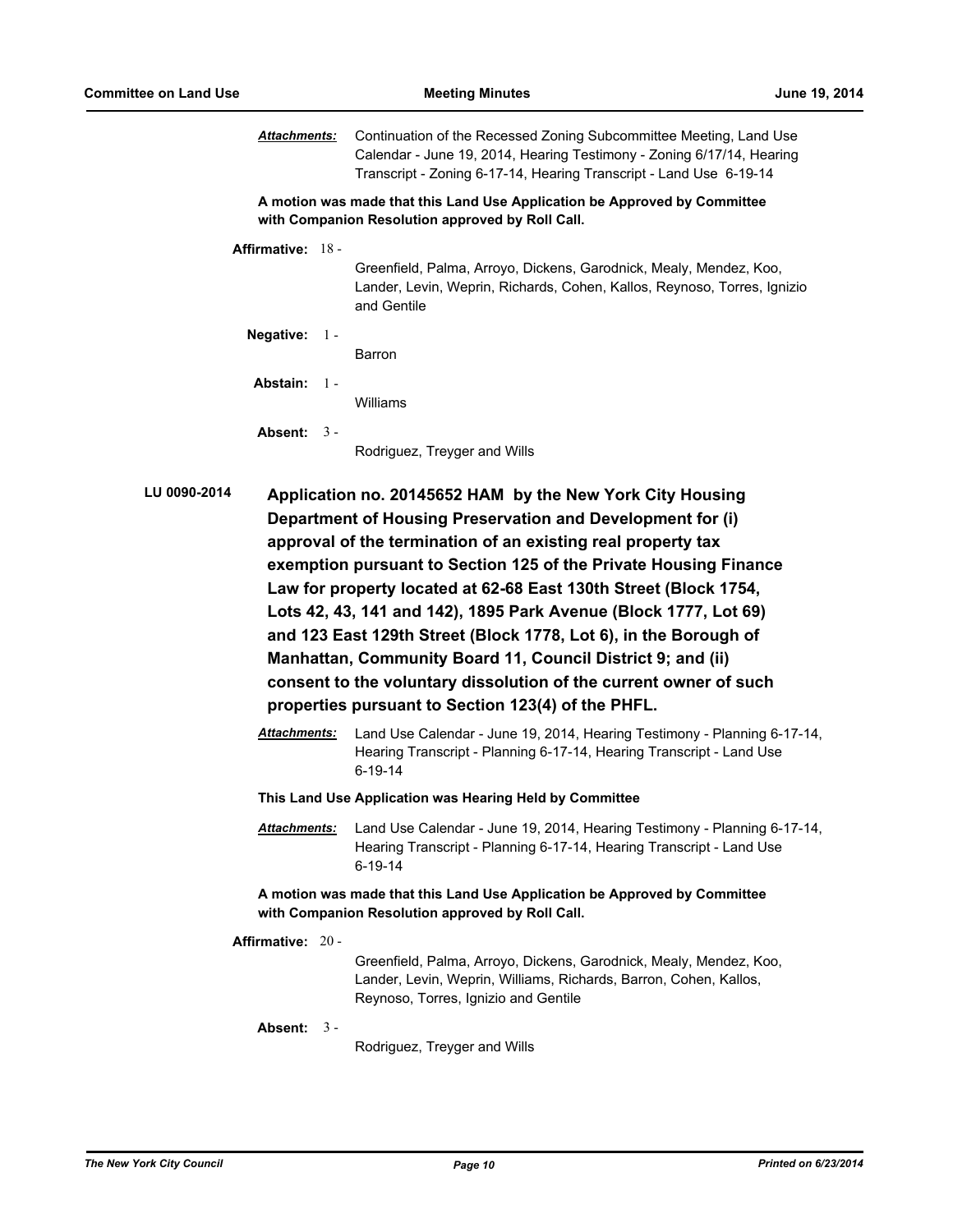*Attachments:* Continuation of the Recessed Zoning Subcommittee Meeting, Land Use Calendar - June 19, 2014, Hearing Testimony - Zoning 6/17/14, Hearing Transcript - Zoning 6-17-14, Hearing Transcript - Land Use 6-19-14

**A motion was made that this Land Use Application be Approved by Committee with Companion Resolution approved by Roll Call.**

**Affirmative:** 18 -

Greenfield, Palma, Arroyo, Dickens, Garodnick, Mealy, Mendez, Koo, Lander, Levin, Weprin, Richards, Cohen, Kallos, Reynoso, Torres, Ignizio and Gentile

**Negative:** 1 - Barron

**Abstain:** 1 -

Williams

**Absent:** 3 -

Rodriguez, Treyger and Wills

- **LU 0090-2014 Application no. 20145652 HAM by the New York City Housing Department of Housing Preservation and Development for (i) approval of the termination of an existing real property tax exemption pursuant to Section 125 of the Private Housing Finance Law for property located at 62-68 East 130th Street (Block 1754, Lots 42, 43, 141 and 142), 1895 Park Avenue (Block 1777, Lot 69) and 123 East 129th Street (Block 1778, Lot 6), in the Borough of Manhattan, Community Board 11, Council District 9; and (ii) consent to the voluntary dissolution of the current owner of such properties pursuant to Section 123(4) of the PHFL.**
	- *Attachments:* Land Use Calendar June 19, 2014, Hearing Testimony Planning 6-17-14, Hearing Transcript - Planning 6-17-14, Hearing Transcript - Land Use 6-19-14
	- **This Land Use Application was Hearing Held by Committee**
	- *Attachments:* Land Use Calendar June 19, 2014, Hearing Testimony Planning 6-17-14, Hearing Transcript - Planning 6-17-14, Hearing Transcript - Land Use 6-19-14

**A motion was made that this Land Use Application be Approved by Committee with Companion Resolution approved by Roll Call.**

**Affirmative:** 20 -

Greenfield, Palma, Arroyo, Dickens, Garodnick, Mealy, Mendez, Koo, Lander, Levin, Weprin, Williams, Richards, Barron, Cohen, Kallos, Reynoso, Torres, Ignizio and Gentile

**Absent:** 3 -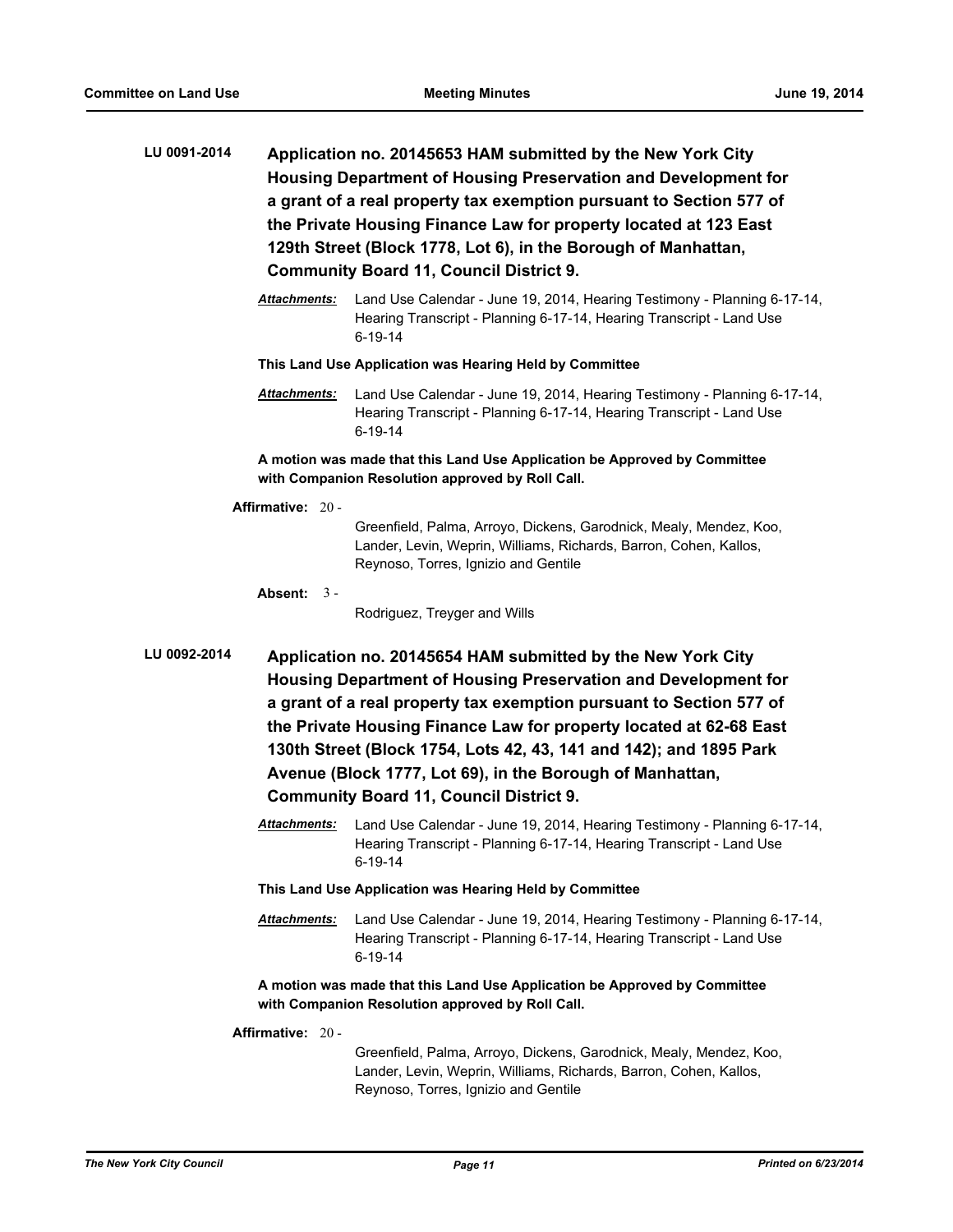- **LU 0091-2014 Application no. 20145653 HAM submitted by the New York City Housing Department of Housing Preservation and Development for a grant of a real property tax exemption pursuant to Section 577 of the Private Housing Finance Law for property located at 123 East 129th Street (Block 1778, Lot 6), in the Borough of Manhattan, Community Board 11, Council District 9.**
	- *Attachments:* Land Use Calendar June 19, 2014, Hearing Testimony Planning 6-17-14, Hearing Transcript - Planning 6-17-14, Hearing Transcript - Land Use 6-19-14

*Attachments:* Land Use Calendar - June 19, 2014, Hearing Testimony - Planning 6-17-14, Hearing Transcript - Planning 6-17-14, Hearing Transcript - Land Use 6-19-14

**A motion was made that this Land Use Application be Approved by Committee with Companion Resolution approved by Roll Call.**

**Affirmative:** 20 -

Greenfield, Palma, Arroyo, Dickens, Garodnick, Mealy, Mendez, Koo, Lander, Levin, Weprin, Williams, Richards, Barron, Cohen, Kallos, Reynoso, Torres, Ignizio and Gentile

**Absent:** 3 -

Rodriguez, Treyger and Wills

- **LU 0092-2014 Application no. 20145654 HAM submitted by the New York City Housing Department of Housing Preservation and Development for a grant of a real property tax exemption pursuant to Section 577 of the Private Housing Finance Law for property located at 62-68 East 130th Street (Block 1754, Lots 42, 43, 141 and 142); and 1895 Park Avenue (Block 1777, Lot 69), in the Borough of Manhattan, Community Board 11, Council District 9.**
	- *Attachments:* Land Use Calendar June 19, 2014, Hearing Testimony Planning 6-17-14, Hearing Transcript - Planning 6-17-14, Hearing Transcript - Land Use 6-19-14

#### **This Land Use Application was Hearing Held by Committee**

*Attachments:* Land Use Calendar - June 19, 2014, Hearing Testimony - Planning 6-17-14, Hearing Transcript - Planning 6-17-14, Hearing Transcript - Land Use 6-19-14

**A motion was made that this Land Use Application be Approved by Committee with Companion Resolution approved by Roll Call.**

**Affirmative:** 20 -

Greenfield, Palma, Arroyo, Dickens, Garodnick, Mealy, Mendez, Koo, Lander, Levin, Weprin, Williams, Richards, Barron, Cohen, Kallos, Reynoso, Torres, Ignizio and Gentile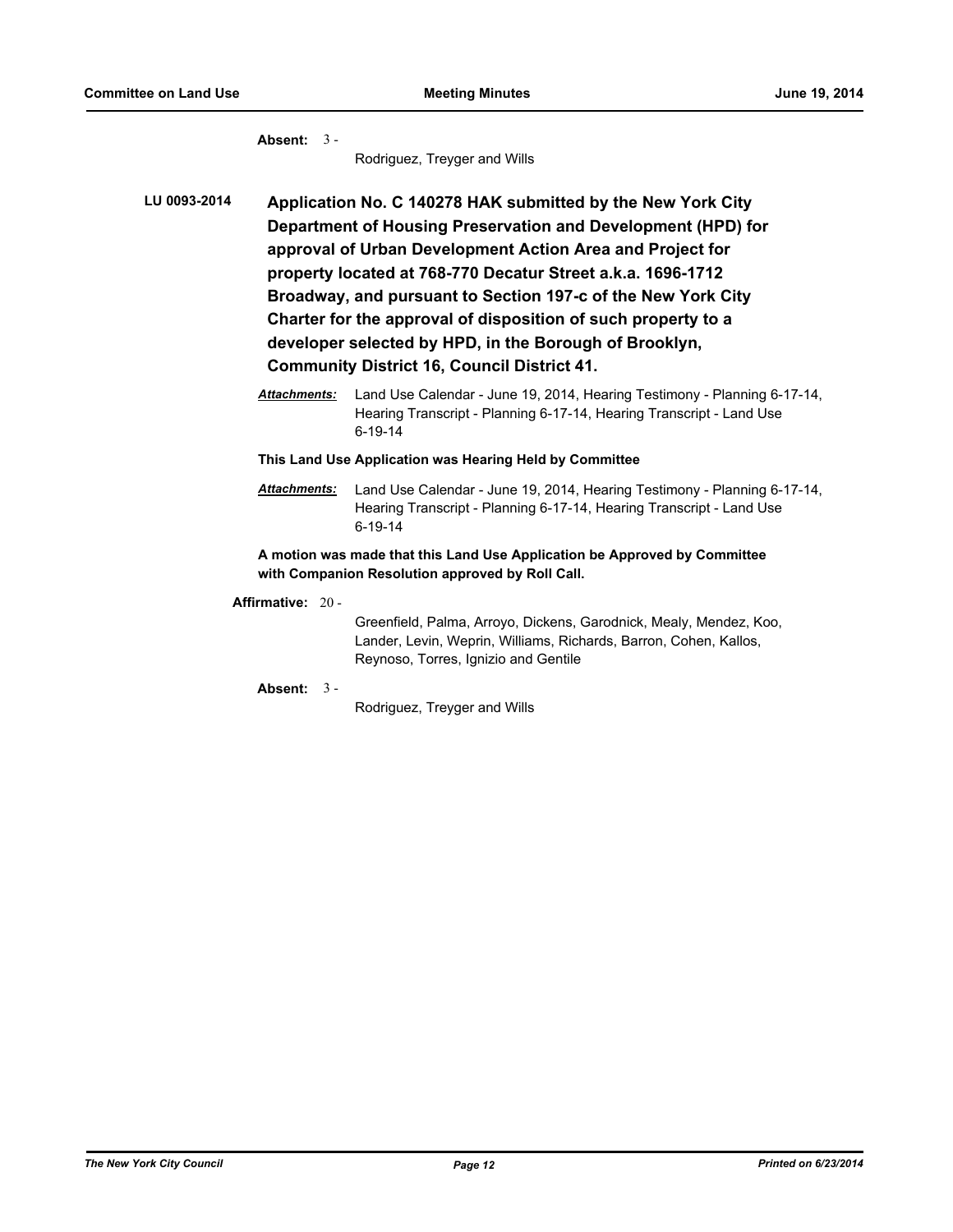**Absent:** 3 -

Rodriguez, Treyger and Wills

**LU 0093-2014 Application No. C 140278 HAK submitted by the New York City Department of Housing Preservation and Development (HPD) for approval of Urban Development Action Area and Project for property located at 768-770 Decatur Street a.k.a. 1696-1712 Broadway, and pursuant to Section 197-c of the New York City Charter for the approval of disposition of such property to a developer selected by HPD, in the Borough of Brooklyn, Community District 16, Council District 41.**

> *Attachments:* Land Use Calendar - June 19, 2014, Hearing Testimony - Planning 6-17-14, Hearing Transcript - Planning 6-17-14, Hearing Transcript - Land Use 6-19-14

**This Land Use Application was Hearing Held by Committee**

*Attachments:* Land Use Calendar - June 19, 2014, Hearing Testimony - Planning 6-17-14, Hearing Transcript - Planning 6-17-14, Hearing Transcript - Land Use 6-19-14

**A motion was made that this Land Use Application be Approved by Committee with Companion Resolution approved by Roll Call.**

**Affirmative:** 20 -

Greenfield, Palma, Arroyo, Dickens, Garodnick, Mealy, Mendez, Koo, Lander, Levin, Weprin, Williams, Richards, Barron, Cohen, Kallos, Reynoso, Torres, Ignizio and Gentile

**Absent:** 3 -